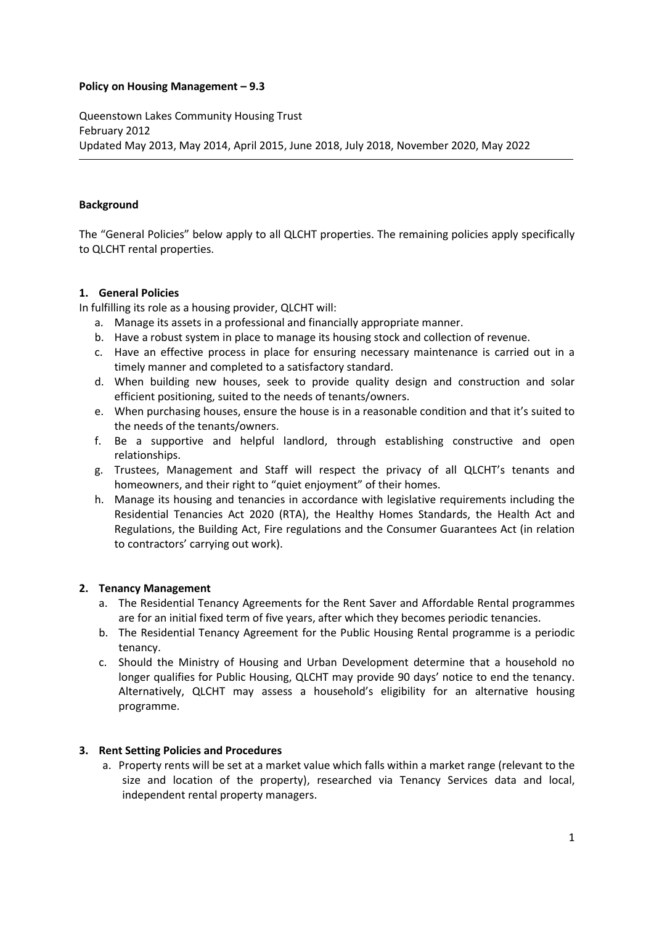#### **Policy on Housing Management – 9.3**

Queenstown Lakes Community Housing Trust February 2012 Updated May 2013, May 2014, April 2015, June 2018, July 2018, November 2020, May 2022

### **Background**

The "General Policies" below apply to all QLCHT properties. The remaining policies apply specifically to QLCHT rental properties.

### **1. General Policies**

In fulfilling its role as a housing provider, QLCHT will:

- a. Manage its assets in a professional and financially appropriate manner.
- b. Have a robust system in place to manage its housing stock and collection of revenue.
- c. Have an effective process in place for ensuring necessary maintenance is carried out in a timely manner and completed to a satisfactory standard.
- d. When building new houses, seek to provide quality design and construction and solar efficient positioning, suited to the needs of tenants/owners.
- e. When purchasing houses, ensure the house is in a reasonable condition and that it's suited to the needs of the tenants/owners.
- f. Be a supportive and helpful landlord, through establishing constructive and open relationships.
- g. Trustees, Management and Staff will respect the privacy of all QLCHT's tenants and homeowners, and their right to "quiet enjoyment" of their homes.
- h. Manage its housing and tenancies in accordance with legislative requirements including the Residential Tenancies Act 2020 (RTA), the Healthy Homes Standards, the Health Act and Regulations, the Building Act, Fire regulations and the Consumer Guarantees Act (in relation to contractors' carrying out work).

# **2. Tenancy Management**

- a. The Residential Tenancy Agreements for the Rent Saver and Affordable Rental programmes are for an initial fixed term of five years, after which they becomes periodic tenancies.
- b. The Residential Tenancy Agreement for the Public Housing Rental programme is a periodic tenancy.
- c. Should the Ministry of Housing and Urban Development determine that a household no longer qualifies for Public Housing, QLCHT may provide 90 days' notice to end the tenancy. Alternatively, QLCHT may assess a household's eligibility for an alternative housing programme.

# **3. Rent Setting Policies and Procedures**

a. Property rents will be set at a market value which falls within a market range (relevant to the size and location of the property), researched via Tenancy Services data and local, independent rental property managers.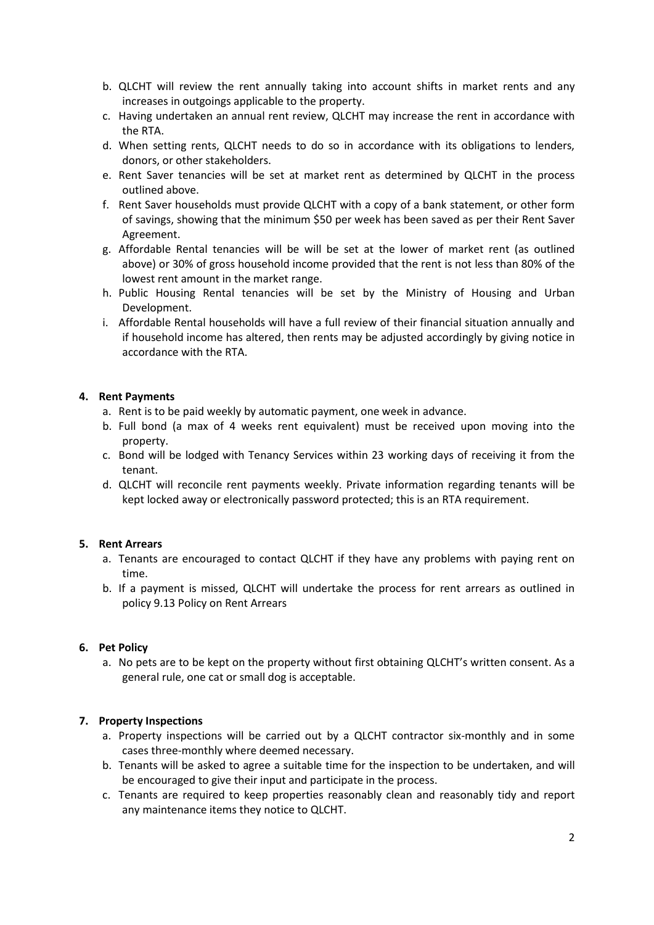- b. QLCHT will review the rent annually taking into account shifts in market rents and any increases in outgoings applicable to the property.
- c. Having undertaken an annual rent review, QLCHT may increase the rent in accordance with the RTA.
- d. When setting rents, QLCHT needs to do so in accordance with its obligations to lenders, donors, or other stakeholders.
- e. Rent Saver tenancies will be set at market rent as determined by QLCHT in the process outlined above.
- f. Rent Saver households must provide QLCHT with a copy of a bank statement, or other form of savings, showing that the minimum \$50 per week has been saved as per their Rent Saver Agreement.
- g. Affordable Rental tenancies will be will be set at the lower of market rent (as outlined above) or 30% of gross household income provided that the rent is not less than 80% of the lowest rent amount in the market range.
- h. Public Housing Rental tenancies will be set by the Ministry of Housing and Urban Development.
- i. Affordable Rental households will have a full review of their financial situation annually and if household income has altered, then rents may be adjusted accordingly by giving notice in accordance with the RTA.

### **4. Rent Payments**

- a. Rent is to be paid weekly by automatic payment, one week in advance.
- b. Full bond (a max of 4 weeks rent equivalent) must be received upon moving into the property.
- c. Bond will be lodged with Tenancy Services within 23 working days of receiving it from the tenant.
- d. QLCHT will reconcile rent payments weekly. Private information regarding tenants will be kept locked away or electronically password protected; this is an RTA requirement.

#### **5. Rent Arrears**

- a. Tenants are encouraged to contact QLCHT if they have any problems with paying rent on time.
- b. If a payment is missed, QLCHT will undertake the process for rent arrears as outlined in policy 9.13 Policy on Rent Arrears

#### **6. Pet Policy**

a. No pets are to be kept on the property without first obtaining QLCHT's written consent. As a general rule, one cat or small dog is acceptable.

# **7. Property Inspections**

- a. Property inspections will be carried out by a QLCHT contractor six-monthly and in some cases three-monthly where deemed necessary.
- b. Tenants will be asked to agree a suitable time for the inspection to be undertaken, and will be encouraged to give their input and participate in the process.
- c. Tenants are required to keep properties reasonably clean and reasonably tidy and report any maintenance items they notice to QLCHT.